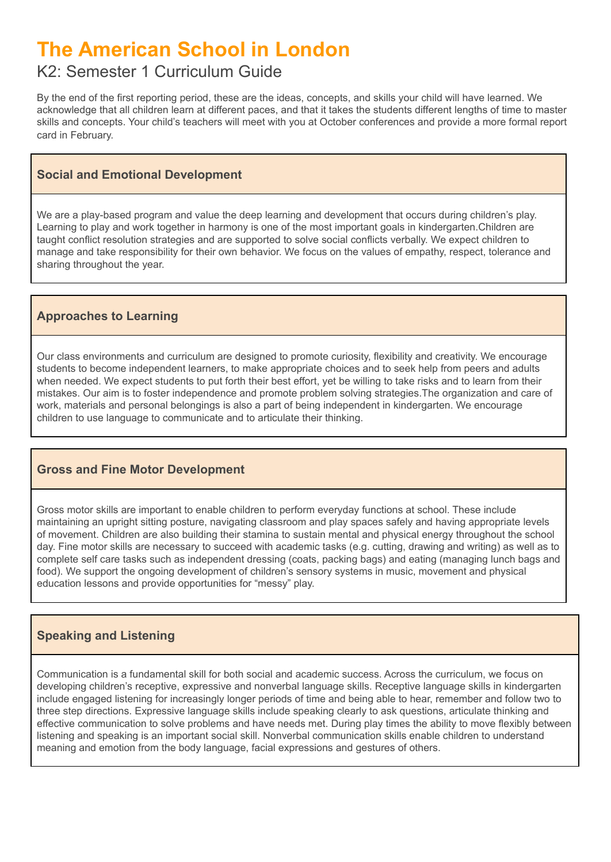# **The American School in London**

# K2: Semester 1 Curriculum Guide

By the end of the first reporting period, these are the ideas, concepts, and skills your child will have learned. We acknowledge that all children learn at different paces, and that it takes the students different lengths of time to master skills and concepts. Your child's teachers will meet with you at October conferences and provide a more formal report card in February.

# **Social and Emotional Development**

We are a play-based program and value the deep learning and development that occurs during children's play. Learning to play and work together in harmony is one of the most important goals in kindergarten.Children are taught conflict resolution strategies and are supported to solve social conflicts verbally. We expect children to manage and take responsibility for their own behavior. We focus on the values of empathy, respect, tolerance and sharing throughout the year.

# **Approaches to Learning**

Our class environments and curriculum are designed to promote curiosity, flexibility and creativity. We encourage students to become independent learners, to make appropriate choices and to seek help from peers and adults when needed. We expect students to put forth their best effort, yet be willing to take risks and to learn from their mistakes. Our aim is to foster independence and promote problem solving strategies.The organization and care of work, materials and personal belongings is also a part of being independent in kindergarten. We encourage children to use language to communicate and to articulate their thinking.

# **Gross and Fine Motor Development**

Gross motor skills are important to enable children to perform everyday functions at school. These include maintaining an upright sitting posture, navigating classroom and play spaces safely and having appropriate levels of movement. Children are also building their stamina to sustain mental and physical energy throughout the school day. Fine motor skills are necessary to succeed with academic tasks (e.g. cutting, drawing and writing) as well as to complete self care tasks such as independent dressing (coats, packing bags) and eating (managing lunch bags and food). We support the ongoing development of children's sensory systems in music, movement and physical education lessons and provide opportunities for "messy" play.

# **Speaking and Listening**

Communication is a fundamental skill for both social and academic success. Across the curriculum, we focus on developing children's receptive, expressive and nonverbal language skills. Receptive language skills in kindergarten include engaged listening for increasingly longer periods of time and being able to hear, remember and follow two to three step directions. Expressive language skills include speaking clearly to ask questions, articulate thinking and effective communication to solve problems and have needs met. During play times the ability to move flexibly between listening and speaking is an important social skill. Nonverbal communication skills enable children to understand meaning and emotion from the body language, facial expressions and gestures of others.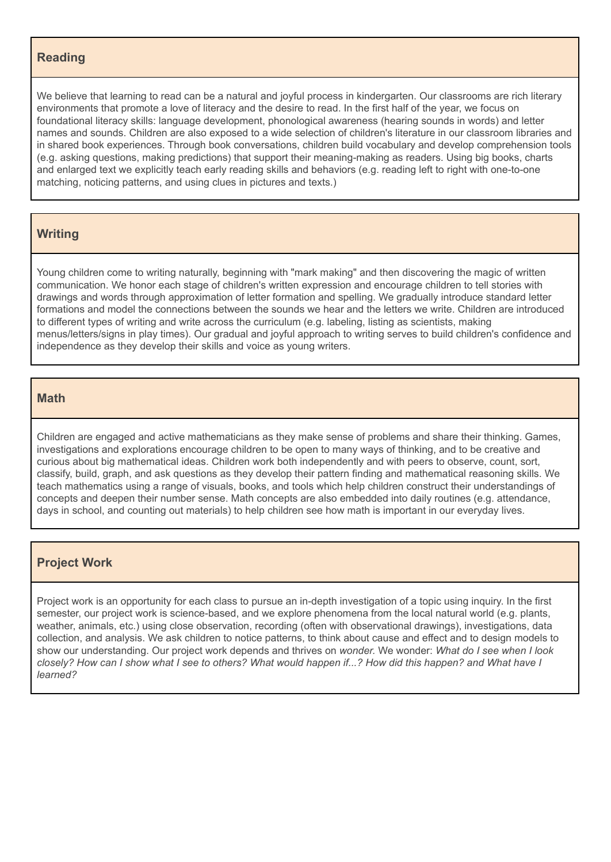#### **Reading**

We believe that learning to read can be a natural and joyful process in kindergarten. Our classrooms are rich literary environments that promote a love of literacy and the desire to read. In the first half of the year, we focus on foundational literacy skills: language development, phonological awareness (hearing sounds in words) and letter names and sounds. Children are also exposed to a wide selection of children's literature in our classroom libraries and in shared book experiences. Through book conversations, children build vocabulary and develop comprehension tools (e.g. asking questions, making predictions) that support their meaning-making as readers. Using big books, charts and enlarged text we explicitly teach early reading skills and behaviors (e.g. reading left to right with one-to-one matching, noticing patterns, and using clues in pictures and texts.)

#### **Writing**

Young children come to writing naturally, beginning with "mark making" and then discovering the magic of written communication. We honor each stage of children's written expression and encourage children to tell stories with drawings and words through approximation of letter formation and spelling. We gradually introduce standard letter formations and model the connections between the sounds we hear and the letters we write. Children are introduced to different types of writing and write across the curriculum (e.g. labeling, listing as scientists, making menus/letters/signs in play times). Our gradual and joyful approach to writing serves to build children's confidence and independence as they develop their skills and voice as young writers.

#### **Math**

Children are engaged and active mathematicians as they make sense of problems and share their thinking. Games, investigations and explorations encourage children to be open to many ways of thinking, and to be creative and curious about big mathematical ideas. Children work both independently and with peers to observe, count, sort, classify, build, graph, and ask questions as they develop their pattern finding and mathematical reasoning skills. We teach mathematics using a range of visuals, books, and tools which help children construct their understandings of concepts and deepen their number sense. Math concepts are also embedded into daily routines (e.g. attendance, days in school, and counting out materials) to help children see how math is important in our everyday lives.

#### **Project Work**

Project work is an opportunity for each class to pursue an in-depth investigation of a topic using inquiry. In the first semester, our project work is science-based, and we explore phenomena from the local natural world (e.g. plants, weather, animals, etc.) using close observation, recording (often with observational drawings), investigations, data collection, and analysis. We ask children to notice patterns, to think about cause and effect and to design models to show our understanding. Our project work depends and thrives on *wonder.* We wonder: *What do I see when I look* closely? How can I show what I see to others? What would happen if...? How did this happen? and What have I *learned?*